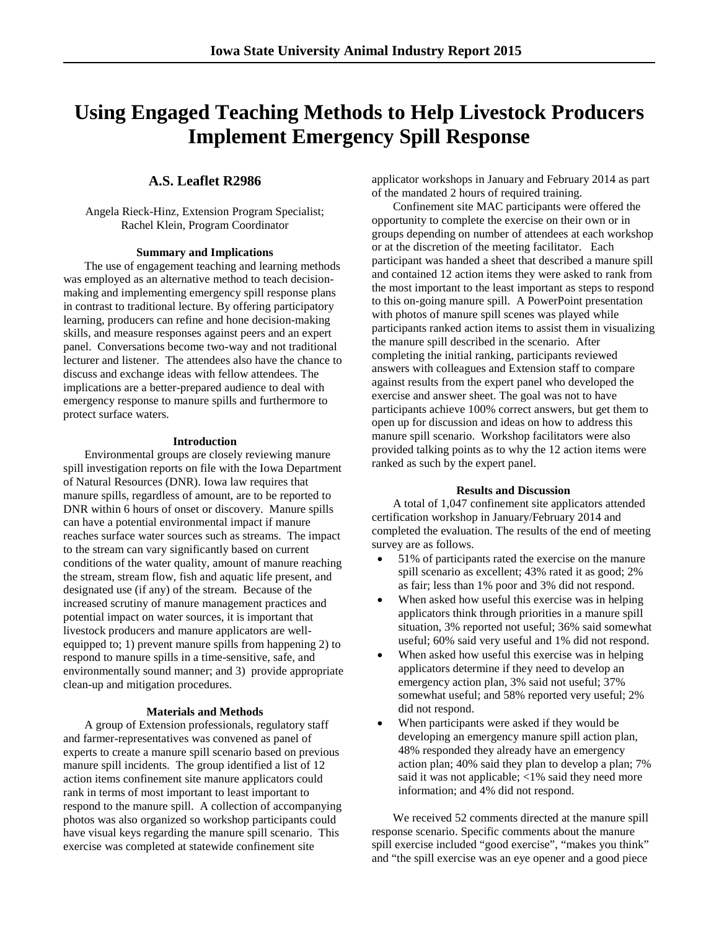# **Using Engaged Teaching Methods to Help Livestock Producers Implement Emergency Spill Response**

# **A.S. Leaflet R2986**

Angela Rieck-Hinz, Extension Program Specialist; Rachel Klein, Program Coordinator

### **Summary and Implications**

The use of engagement teaching and learning methods was employed as an alternative method to teach decisionmaking and implementing emergency spill response plans in contrast to traditional lecture. By offering participatory learning, producers can refine and hone decision-making skills, and measure responses against peers and an expert panel. Conversations become two-way and not traditional lecturer and listener. The attendees also have the chance to discuss and exchange ideas with fellow attendees. The implications are a better-prepared audience to deal with emergency response to manure spills and furthermore to protect surface waters.

#### **Introduction**

Environmental groups are closely reviewing manure spill investigation reports on file with the Iowa Department of Natural Resources (DNR). Iowa law requires that manure spills, regardless of amount, are to be reported to DNR within 6 hours of onset or discovery. Manure spills can have a potential environmental impact if manure reaches surface water sources such as streams. The impact to the stream can vary significantly based on current conditions of the water quality, amount of manure reaching the stream, stream flow, fish and aquatic life present, and designated use (if any) of the stream. Because of the increased scrutiny of manure management practices and potential impact on water sources, it is important that livestock producers and manure applicators are wellequipped to; 1) prevent manure spills from happening 2) to respond to manure spills in a time-sensitive, safe, and environmentally sound manner; and 3) provide appropriate clean-up and mitigation procedures.

#### **Materials and Methods**

A group of Extension professionals, regulatory staff and farmer-representatives was convened as panel of experts to create a manure spill scenario based on previous manure spill incidents. The group identified a list of 12 action items confinement site manure applicators could rank in terms of most important to least important to respond to the manure spill. A collection of accompanying photos was also organized so workshop participants could have visual keys regarding the manure spill scenario. This exercise was completed at statewide confinement site

applicator workshops in January and February 2014 as part of the mandated 2 hours of required training.

Confinement site MAC participants were offered the opportunity to complete the exercise on their own or in groups depending on number of attendees at each workshop or at the discretion of the meeting facilitator. Each participant was handed a sheet that described a manure spill and contained 12 action items they were asked to rank from the most important to the least important as steps to respond to this on-going manure spill. A PowerPoint presentation with photos of manure spill scenes was played while participants ranked action items to assist them in visualizing the manure spill described in the scenario. After completing the initial ranking, participants reviewed answers with colleagues and Extension staff to compare against results from the expert panel who developed the exercise and answer sheet. The goal was not to have participants achieve 100% correct answers, but get them to open up for discussion and ideas on how to address this manure spill scenario. Workshop facilitators were also provided talking points as to why the 12 action items were ranked as such by the expert panel.

#### **Results and Discussion**

A total of 1,047 confinement site applicators attended certification workshop in January/February 2014 and completed the evaluation. The results of the end of meeting survey are as follows.

- 51% of participants rated the exercise on the manure spill scenario as excellent; 43% rated it as good; 2% as fair; less than 1% poor and 3% did not respond.
- When asked how useful this exercise was in helping applicators think through priorities in a manure spill situation, 3% reported not useful; 36% said somewhat useful; 60% said very useful and 1% did not respond.
- When asked how useful this exercise was in helping applicators determine if they need to develop an emergency action plan, 3% said not useful; 37% somewhat useful; and 58% reported very useful; 2% did not respond.
- When participants were asked if they would be developing an emergency manure spill action plan, 48% responded they already have an emergency action plan; 40% said they plan to develop a plan; 7% said it was not applicable; <1% said they need more information; and 4% did not respond.

We received 52 comments directed at the manure spill response scenario. Specific comments about the manure spill exercise included "good exercise", "makes you think" and "the spill exercise was an eye opener and a good piece